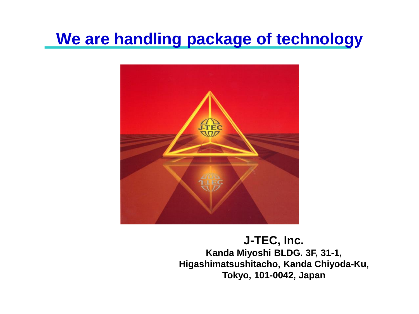# **We are handling package of technology**



**J-TEC, Inc. Kanda Miyoshi BLDG. 3F, 31-1, Higashimatsushitacho, Kanda Chiyoda-Ku, Tokyo, 101-0042, Japan**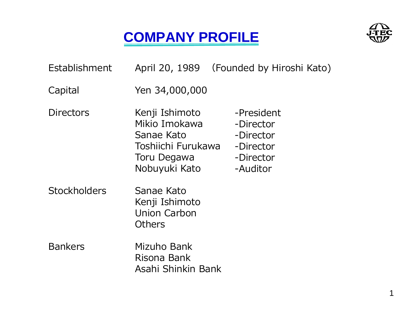# **COMPANY PROFILE**



| Establishment       |                                                                                                     | April 20, 1989 (Founded by Hiroshi Kato)                                   |
|---------------------|-----------------------------------------------------------------------------------------------------|----------------------------------------------------------------------------|
| Capital             | Yen 34,000,000                                                                                      |                                                                            |
| <b>Directors</b>    | Kenji Ishimoto<br>Mikio Imokawa<br>Sanae Kato<br>Toshiichi Furukawa<br>Toru Degawa<br>Nobuyuki Kato | -President<br>-Director<br>-Director<br>-Director<br>-Director<br>-Auditor |
| <b>Stockholders</b> | Sanae Kato<br>Kenji Ishimoto<br><b>Union Carbon</b><br>Others                                       |                                                                            |
| <b>Bankers</b>      | Mizuho Bank<br>Risona Bank<br>Asahi Shinkin Bank                                                    |                                                                            |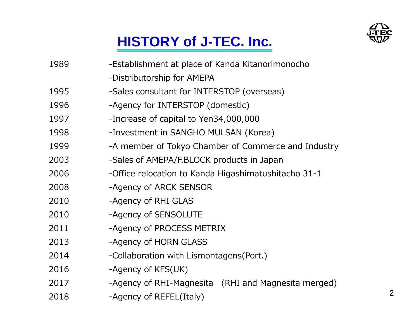

# **HISTORY of J-TEC. Inc.**

| 1989 | -Establishment at place of Kanda Kitanorimonocho     |  |  |
|------|------------------------------------------------------|--|--|
|      | -Distributorship for AMEPA                           |  |  |
| 1995 | -Sales consultant for INTERSTOP (overseas)           |  |  |
| 1996 | -Agency for INTERSTOP (domestic)                     |  |  |
| 1997 | -Increase of capital to Yen34,000,000                |  |  |
| 1998 | -Investment in SANGHO MULSAN (Korea)                 |  |  |
| 1999 | -A member of Tokyo Chamber of Commerce and Industry  |  |  |
| 2003 | -Sales of AMEPA/F.BLOCK products in Japan            |  |  |
| 2006 | -Office relocation to Kanda Higashimatushitacho 31-1 |  |  |
| 2008 | -Agency of ARCK SENSOR                               |  |  |
| 2010 | -Agency of RHI GLAS                                  |  |  |
| 2010 | -Agency of SENSOLUTE                                 |  |  |
| 2011 | -Agency of PROCESS METRIX                            |  |  |
| 2013 | -Agency of HORN GLASS                                |  |  |
| 2014 | -Collaboration with Lismontagens(Port.)              |  |  |
| 2016 | -Agency of KFS(UK)                                   |  |  |
| 2017 | -Agency of RHI-Magnesita (RHI and Magnesita merged)  |  |  |
| 2018 | -Agency of REFEL(Italy)                              |  |  |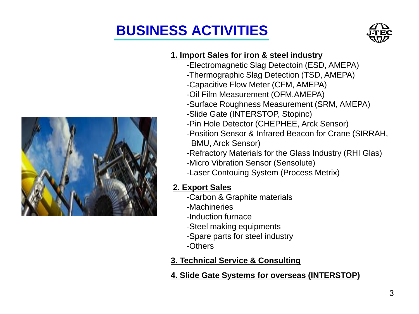# **BUSINESS ACTIVITIES**





## **1. Import Sales for iron & steel industry**

- -Electromagnetic Slag Detectoin (ESD, AMEPA)
- -Thermographic Slag Detection (TSD, AMEPA)
- -Capacitive Flow Meter (CFM, AMEPA)
- -Oil Film Measurement (OFM,AMEPA)
- -Surface Roughness Measurement (SRM, AMEPA)
- -Slide Gate (INTERSTOP, Stopinc)
- -Pin Hole Detector (CHEPHEE, Arck Sensor)
- -Position Sensor & Infrared Beacon for Crane (SIRRAH, BMU, Arck Sensor)
- -Refractory Materials for the Glass Industry (RHI Glas)
- -Micro Vibration Sensor (Sensolute)
- -Laser Contouing System (Process Metrix)

## **2. Export Sales**

- -Carbon & Graphite materials
- -Machineries
- -Induction furnace
- -Steel making equipments
- -Spare parts for steel industry
- -Others

## **3. Technical Service & Consulting**

## **4. Slide Gate Systems for overseas (INTERSTOP)**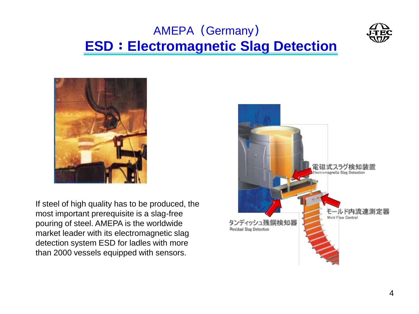# AMEPA (Germany) **ESD**:**Electromagnetic Slag Detection**





If steel of high quality has to be produced, the most important prerequisite is a slag-free pouring of steel. AMEPA is the worldwide market leader with its electromagnetic slag detection system ESD for ladles with more than 2000 vessels equipped with sensors.

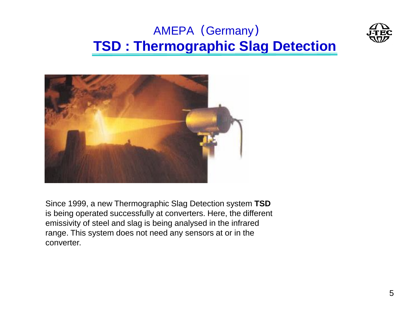# AMEPA (Germany) **TSD : Thermographic Slag Detection**





Since 1999, a new Thermographic Slag Detection system **TSD** is being operated successfully at converters. Here, the different emissivity of steel and slag is being analysed in the infrared range. This system does not need any sensors at or in the converter.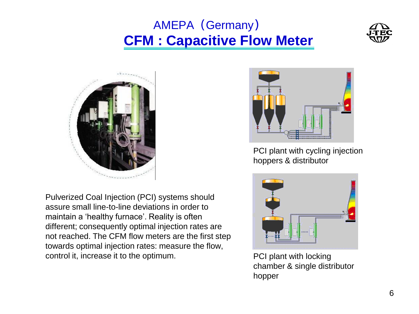# AMEPA (Germany) **CFM : Capacitive Flow Meter**





Pulverized Coal Injection (PCI) systems should assure small line-to-line deviations in order to maintain a 'healthy furnace'. Reality is often different; consequently optimal injection rates are not reached. The CFM flow meters are the first step towards optimal injection rates: measure the flow, control it, increase it to the optimum.



PCI plant with cycling injection hoppers & distributor



PCI plant with locking chamber & single distributor hopper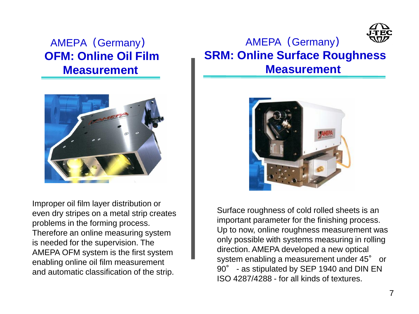## AMEPA (Germany) **OFM: Online Oil Film Measurement**



Improper oil film layer distribution or even dry stripes on a metal strip creates problems in the forming process. Therefore an online measuring system is needed for the supervision. The AMEPA OFM system is the first system enabling online oil film measurement and automatic classification of the strip.

## AMEPA (Germany) **SRM: Online Surface Roughness Measurement**



Surface roughness of cold rolled sheets is an important parameter for the finishing process. Up to now, online roughness measurement was only possible with systems measuring in rolling direction. AMEPA developed a new optical system enabling a measurement under 45° or 90° - as stipulated by SEP 1940 and DIN EN ISO 4287/4288 - for all kinds of textures.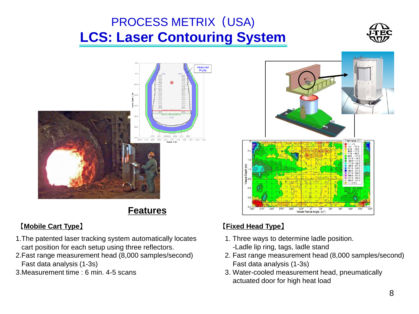# PROCESS METRIX (USA) **LCS: Laser Contouring System**





**Features**



- 1.The patented laser tracking system automatically locates cart position for each setup using three reflectors.
- 2.Fast range measurement head (8,000 samples/second) Fast data analysis (1-3s)
- 3.Measurement time : 6 min. 4-5 scans

### 【**Mobile Cart Type**】 【**Fixed Head Type**】

- 1. Three ways to determine ladle position. -Ladle lip ring, tags, ladle stand
- 2. Fast range measurement head (8,000 samples/second) Fast data analysis (1-3s)
- 3. Water-cooled measurement head, pneumatically actuated door for high heat load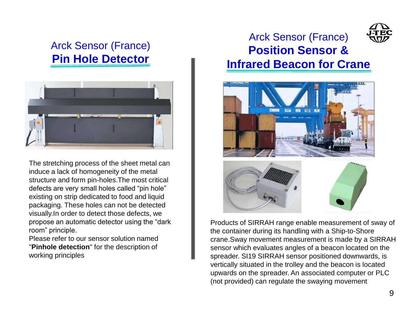## Arck Sensor (France) **Pin Hole Detector**



The stretching process of the sheet metal can induce a lack of homogeneity of the metal structure and form pin-holes.The most critical defects are very small holes called "pin hole" existing on strip dedicated to food and liquid packaging. These holes can not be detected visually.In order to detect those defects, we propose an automatic detector using the "dark room" principle.

Please refer to our sensor solution named "**Pinhole detection**" for the description of working principles

## Arck Sensor (France) **Position Sensor & Infrared Beacon for Crane**



Products of SIRRAH range enable measurement of sway of the container during its handling with a Ship-to-Shore crane.Sway movement measurement is made by a SIRRAH sensor which evaluates angles of a beacon located on the spreader. SI19 SIRRAH sensor positioned downwards, is vertically situated in the trolley and the beacon is located upwards on the spreader. An associated computer or PLC (not provided) can regulate the swaying movement